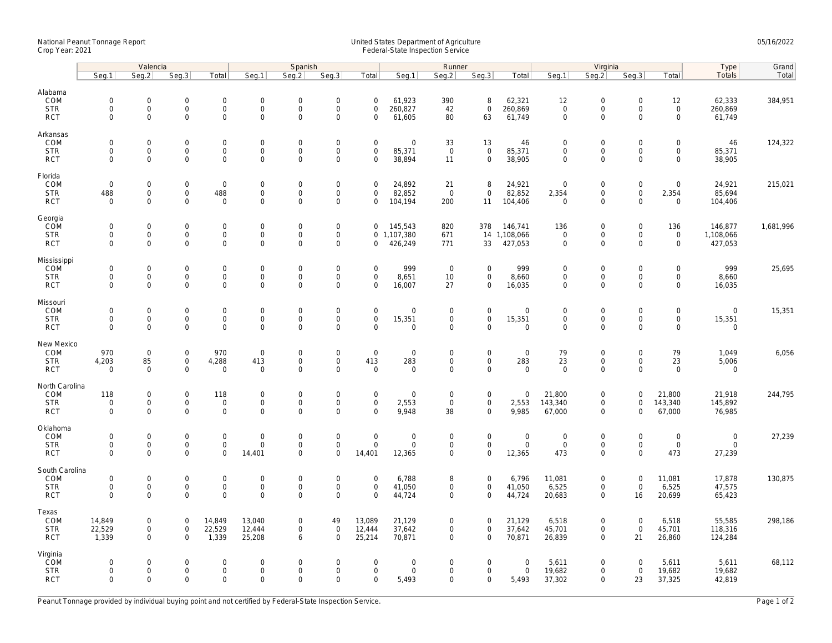## National Peanut Tonnage Report United States Department of Agriculture 05/16/2022 Crop Year: 2021 Federal-State Inspection Service

|                              | Valencia                                   |                                    |                                            |                            |                                 | Spanish                                    |                                            |                                    | Runner                        |                            |                              |                         | Virginia                           |                                            |                                            |                                            | Type                       | Grand     |
|------------------------------|--------------------------------------------|------------------------------------|--------------------------------------------|----------------------------|---------------------------------|--------------------------------------------|--------------------------------------------|------------------------------------|-------------------------------|----------------------------|------------------------------|-------------------------|------------------------------------|--------------------------------------------|--------------------------------------------|--------------------------------------------|----------------------------|-----------|
|                              | Seg.1                                      | Seq.2                              | Seg.3                                      | Total                      | Seg.1                           | Seq.2                                      | Seg.3                                      | Total                              | Seg.1                         | Seg.2                      | Seg.3                        | Total                   | Seg.1                              | Seq.2                                      | Seg.3                                      | Total                                      | Totals                     | Total     |
| Alabama<br>COM<br><b>STR</b> | $\mathsf{O}\xspace$<br>$\mathbf 0$         | $\mathsf{O}\xspace$<br>$\mathbf 0$ | $\mathsf{O}\xspace$<br>$\mathbf 0$         | $\mathbf 0$<br>$\mathbf 0$ | $\boldsymbol{0}$<br>$\mathbf 0$ | $\mathbf 0$<br>$\mathbf{0}$                | $\mathbf 0$<br>$\mathbf 0$                 | $\mathbf 0$<br>$\mathbf 0$         | 61,923<br>260,827             | 390<br>42                  | 8<br>$\mathbf{0}$            | 62,321<br>260,869       | 12<br>$\mathbf 0$                  | $\mathsf{O}\xspace$<br>$\mathsf{O}\xspace$ | $\mathsf{O}\xspace$<br>$\mathbf 0$         | 12<br>$\mathsf{O}$                         | 62,333<br>260,869          | 384,951   |
| <b>RCT</b>                   | $\mathsf{O}\xspace$                        | $\mathbf 0$                        | $\mathbf 0$                                | 0                          | $\mathsf 0$                     | $\mathbf 0$                                | $\mathbf 0$                                | $\mathbf 0$                        | 61,605                        | 80                         | 63                           | 61,749                  | $\mathbf 0$                        | $\mathsf{O}\xspace$                        | $\Omega$                                   | $\mathbf 0$                                | 61,749                     |           |
| Arkansas                     |                                            |                                    |                                            |                            |                                 |                                            |                                            |                                    |                               |                            |                              |                         |                                    |                                            |                                            |                                            |                            |           |
| COM<br><b>STR</b>            | $\mathsf{O}\xspace$<br>$\mathsf{O}\xspace$ | $\mathbf 0$<br>$\mathbf 0$         | $\mathsf{O}\xspace$<br>$\mathsf{O}\xspace$ | 0<br>0                     | $\mathsf 0$<br>$\mathsf 0$      | $\mathsf{O}\xspace$<br>$\mathbf 0$         | $\mathbf 0$<br>$\mathbf 0$                 | $\mathbf 0$<br>$\mathsf{O}\xspace$ | $\mathsf{O}\xspace$<br>85,371 | 33<br>$\mathbf 0$          | 13<br>$\mathbf 0$            | 46<br>85,371            | $\mathbf 0$<br>$\mathbf 0$         | $\mathsf{O}\xspace$<br>$\mathsf{O}\xspace$ | $\mathbf 0$<br>$\mathsf{O}\xspace$         | $\mathsf{O}\xspace$<br>$\mathsf{O}\xspace$ | 46<br>85,371               | 124,322   |
| <b>RCT</b>                   | $\Omega$                                   | $\Omega$                           | $\mathbf{0}$                               | $\mathbf{0}$               | $\mathbf 0$                     | $\Omega$                                   | $\mathbf 0$                                | $\Omega$                           | 38,894                        | 11                         | $\mathbf{0}$                 | 38,905                  | $\mathbf 0$                        | $\mathbf 0$                                | $\Omega$                                   | $\mathbf 0$                                | 38,905                     |           |
| Florida                      |                                            |                                    |                                            |                            |                                 |                                            |                                            |                                    |                               |                            |                              |                         |                                    |                                            |                                            |                                            |                            |           |
| COM<br><b>STR</b>            | $\mathbf 0$<br>488                         | $\mathbf 0$<br>$\mathsf{O}\xspace$ | $\mathbf 0$<br>0                           | $\mathbf 0$<br>488         | $\mathbf 0$<br>$\boldsymbol{0}$ | $\mathbf 0$<br>$\mathsf{O}\xspace$         | $\mathsf{O}\xspace$<br>$\mathsf{O}\xspace$ | $\mathbf 0$<br>$\mathbf 0$         | 24,892<br>82,852              | 21<br>$\overline{0}$       | 8<br>$\mathbf 0$             | 24,921<br>82,852        | $\overline{0}$<br>2,354            | $\mathsf{O}\xspace$<br>$\mathsf{O}\xspace$ | $\mathsf{O}\xspace$<br>$\mathsf{O}\xspace$ | $\mathbf 0$<br>2,354                       | 24,921<br>85,694           | 215,021   |
| <b>RCT</b>                   | $\mathbf 0$                                | $\Omega$                           | $\mathbf 0$                                | $\mathbf 0$                | $\mathbf 0$                     | $\mathbf 0$                                | $\mathbf 0$                                | $\mathbf 0$                        | 104,194                       | 200                        | 11                           | 104,406                 | $\overline{0}$                     | $\mathbf 0$                                | $\Omega$                                   | $\mathbf 0$                                | 104,406                    |           |
| Georgia                      |                                            |                                    |                                            |                            |                                 |                                            |                                            |                                    |                               |                            |                              |                         |                                    |                                            |                                            |                                            |                            |           |
| COM<br><b>STR</b>            | $\mathbf 0$<br>$\mathbf 0$                 | $\mathbf 0$<br>$\mathsf{O}\xspace$ | $\mathsf{O}\xspace$<br>$\mathsf{O}\xspace$ | 0<br>0                     | $\mathbf 0$<br>$\boldsymbol{0}$ | $\mathbf 0$<br>$\mathsf{O}\xspace$         | $\mathbf 0$<br>$\mathbf 0$                 | $\mathbf 0$                        | 145,543<br>0 1,107,380        | 820<br>671                 | 378                          | 146,741<br>14 1,108,066 | 136<br>$\mathsf{O}\xspace$         | $\mathsf{O}\xspace$<br>$\mathsf{O}\xspace$ | $\mathsf{O}\xspace$<br>$\mathsf{O}\xspace$ | 136<br>$\mathsf{O}$                        | 146,877<br>1,108,066       | 1,681,996 |
| <b>RCT</b>                   | $\mathbf 0$                                | $\mathbf 0$                        | $\mathbf 0$                                | 0                          | $\mathsf 0$                     | $\mathsf{O}\xspace$                        | $\mathbf 0$                                | $\mathbf 0$                        | 426,249                       | 771                        | 33                           | 427,053                 | $\mathsf{O}\xspace$                | $\mathbf 0$                                | $\mathbf 0$                                | $\mathbf 0$                                | 427,053                    |           |
| Mississippi<br>COM           | $\mathsf{O}\xspace$                        | $\mathbf 0$                        | $\mathsf{O}\xspace$                        | 0                          | $\mathbf 0$                     | $\mathbf 0$                                | $\mathbf 0$                                | $\mathbf 0$                        | 999                           | $\overline{0}$             | $\mathbf 0$                  | 999                     | $\mathbf 0$                        | $\mathsf{O}\xspace$                        | $\Omega$                                   | $\mathbf 0$                                | 999                        | 25,695    |
| <b>STR</b>                   | $\mathbf 0$                                | $\mathbf 0$                        | $\mathbf 0$                                | $\overline{0}$             | $\mathbf 0$                     | $\mathbf{0}$                               | $\mathbf 0$                                | $\mathbf 0$                        | 8,651                         | 10                         | $\mathbf{0}$                 | 8,660                   | $\mathbf 0$                        | $\mathbf 0$                                | $\mathbf 0$                                | $\mathbf 0$                                | 8,660                      |           |
| <b>RCT</b>                   | $\mathbf 0$                                | $\mathbf 0$                        | $\mathbf 0$                                | 0                          | $\mathsf 0$                     | $\mathbf 0$                                | $\mathbf 0$                                | $\mathbf 0$                        | 16,007                        | 27                         | $\mathbf 0$                  | 16,035                  | $\mathbf 0$                        | $\mathsf{O}\xspace$                        | $\mathbf 0$                                | $\mathbf 0$                                | 16,035                     |           |
| Missouri<br>COM              | $\mathsf{O}\xspace$                        | $\mathbf 0$                        | $\mathsf{O}\xspace$                        | 0                          | $\mathbf 0$                     | $\mathsf{O}\xspace$                        | $\mathbf 0$                                | $\mathsf{O}\xspace$                | $\mathsf{O}\xspace$           | $\mathsf 0$                | $\mathbf 0$                  | $\mathbf 0$             | $\mathbf 0$                        | $\mathsf{O}\xspace$                        | $\mathsf{O}\xspace$                        | $\mathsf{O}\xspace$                        | $\mathsf{O}\xspace$        | 15,351    |
| <b>STR</b><br><b>RCT</b>     | $\mathbf 0$<br>$\Omega$                    | $\mathbf 0$<br>$\mathbf 0$         | $\mathsf{O}\xspace$<br>$\mathbf{0}$        | 0<br>$\mathbf{0}$          | $\mathsf 0$<br>$\mathbf 0$      | $\mathsf{O}\xspace$<br>$\mathbf 0$         | $\mathbf 0$<br>$\mathbf 0$                 | $\mathsf{O}\xspace$<br>$\Omega$    | 15,351<br>$\mathbf 0$         | 0<br>$\mathbf 0$           | $\mathbf 0$<br>$\Omega$      | 15,351<br>$\mathbf 0$   | $\mathsf{O}\xspace$<br>$\mathbf 0$ | $\mathsf{O}\xspace$<br>$\Omega$            | $\mathbf 0$<br>$\Omega$                    | $\mathbf 0$<br>$\mathbf 0$                 | 15,351<br>$\mathbf 0$      |           |
|                              |                                            |                                    |                                            |                            |                                 |                                            |                                            |                                    |                               |                            |                              |                         |                                    |                                            |                                            |                                            |                            |           |
| New Mexico<br>COM            | 970                                        | $\mathbf 0$                        | $\mathbf 0$                                | 970                        | $\mathsf 0$                     | $\mathsf{O}\xspace$                        | $\mathsf{O}\xspace$                        | $\mathbf 0$                        | $\mathsf{O}\xspace$           | $\mathbf 0$                | $\mathsf{O}$                 | $\mathsf 0$             | 79                                 | $\mathsf{O}\xspace$                        | $\mathbf 0$                                | 79                                         | 1,049                      | 6,056     |
| <b>STR</b><br><b>RCT</b>     | 4,203<br>$\mathbf 0$                       | 85<br>$\mathbf 0$                  | $\mathsf{O}\xspace$<br>$\mathbf 0$         | 4,288<br>$\mathbf 0$       | 413<br>$\mathbf 0$              | $\mathbf 0$<br>$\mathbf 0$                 | $\mathsf{O}\xspace$<br>$\overline{0}$      | 413<br>$\mathbf 0$                 | 283<br>$\mathbf 0$            | $\mathsf 0$<br>$\mathbf 0$ | $\mathbf 0$<br>$\mathbf{0}$  | 283<br>$\mathbf 0$      | 23<br>$\mathbf 0$                  | $\mathsf{O}\xspace$<br>$\mathbf 0$         | $\mathbf 0$<br>$\Omega$                    | 23<br>$\mathbf 0$                          | 5,006<br>$\mathbf 0$       |           |
| North Carolina               |                                            |                                    |                                            |                            |                                 |                                            |                                            |                                    |                               |                            |                              |                         |                                    |                                            |                                            |                                            |                            |           |
| <b>COM</b>                   | 118                                        | $\mathbf 0$                        | $\mathbf 0$                                | 118                        | $\mathbf 0$                     | $\mathbf 0$                                | $\mathbf 0$                                | $\mathbf 0$                        | $\mathbf 0$                   | $\mathbf 0$                | $\mathbf 0$                  | $\mathbf 0$             | 21,800                             | $\mathbf 0$                                | $\Omega$                                   | 21,800                                     | 21,918                     | 244,795   |
| <b>STR</b><br><b>RCT</b>     | $\mathsf{O}\xspace$<br>$\mathbf 0$         | $\mathsf{O}\xspace$<br>$\mathbf 0$ | $\mathbf 0$<br>$\mathbf 0$                 | $\mathbf 0$<br>$\mathbf 0$ | $\mathsf 0$<br>$\mathbf 0$      | $\mathbf 0$<br>$\mathbf 0$                 | $\mathbf 0$<br>$\mathbf 0$                 | $\mathsf{O}\xspace$<br>$\Omega$    | 2,553<br>9,948                | $\mathsf 0$<br>38          | $\mathsf{O}$<br>$\mathbf{0}$ | 2,553<br>9,985          | 143,340<br>67,000                  | $\mathsf{O}\xspace$<br>$\mathbf 0$         | $\mathbf 0$<br>$\Omega$                    | 143,340<br>67,000                          | 145,892<br>76,985          |           |
| Oklahoma                     |                                            |                                    |                                            |                            |                                 |                                            |                                            |                                    |                               |                            |                              |                         |                                    |                                            |                                            |                                            |                            |           |
| COM                          | $\mathbf 0$                                | $\mathbf 0$                        | $\mathsf{O}\xspace$                        | 0                          | $\mathbf 0$                     | $\mathsf{O}\xspace$                        | $\mathbf 0$                                | $\mathbf 0$                        | $\mathsf{O}\xspace$           | $\mathsf 0$                | $\mathbf 0$                  | $\mathbf 0$             | $\mathbf 0$                        | $\mathsf{O}\xspace$                        | $\mathbf 0$                                | $\mathsf{O}\xspace$                        | $\mathbf 0$<br>$\mathbf 0$ | 27,239    |
| <b>STR</b><br><b>RCT</b>     | $\mathbf 0$<br>$\mathbf 0$                 | $\mathsf{O}\xspace$<br>$\mathbf 0$ | $\mathbf 0$<br>$\mathbf 0$                 | $\mathsf{O}\xspace$<br>0   | $\mathsf{O}\xspace$<br>14,401   | $\mathbf 0$<br>$\mathbf 0$                 | $\mathsf{O}\xspace$<br>$\mathbf 0$         | $\mathbf 0$<br>14,401              | $\mathbf 0$<br>12,365         | $\mathbf 0$<br>$\mathbf 0$ | $\mathbf 0$<br>0             | $\mathsf{O}$<br>12,365  | $\mathbf 0$<br>473                 | $\mathsf{O}\xspace$<br>$\mathbf 0$         | $\mathbf 0$<br>$\Omega$                    | $\mathsf{O}$<br>473                        | 27,239                     |           |
| South Carolina               |                                            |                                    |                                            |                            |                                 |                                            |                                            |                                    |                               |                            |                              |                         |                                    |                                            |                                            |                                            |                            |           |
| COM<br><b>STR</b>            | $\mathsf{O}\xspace$<br>$\mathsf{O}\xspace$ | $\mathbf 0$<br>$\mathbf 0$         | $\mathsf{O}\xspace$<br>$\mathsf{O}\xspace$ | 0<br>$\mathsf{O}\xspace$   | $\mathbf 0$<br>$\mathbf 0$      | $\mathsf{O}\xspace$<br>$\mathsf{O}\xspace$ | $\mathbf 0$<br>$\mathbf 0$                 | $\mathbf 0$<br>$\mathsf{O}\xspace$ | 6,788<br>41,050               | 8<br>0                     | $\mathbf 0$<br>$\mathbf 0$   | 6,796<br>41,050         | 11,081<br>6,525                    | $\mathsf{O}\xspace$<br>$\mathsf{O}\xspace$ | $\mathbf 0$<br>$\mathsf{O}\xspace$         | 11,081<br>6,525                            | 17,878<br>47,575           | 130,875   |
| <b>RCT</b>                   | $\Omega$                                   | $\Omega$                           | $\Omega$                                   | 0                          | $\Omega$                        | $\Omega$                                   | $\Omega$                                   | $\Omega$                           | 44,724                        | $\Omega$                   | $\mathbf 0$                  | 44,724                  | 20,683                             | $\mathbf 0$                                | 16                                         | 20,699                                     | 65,423                     |           |
| Texas                        |                                            |                                    |                                            |                            |                                 |                                            |                                            |                                    |                               |                            |                              |                         |                                    |                                            |                                            |                                            |                            |           |
| COM<br><b>STR</b>            | 14,849<br>22,529                           | 0<br>$\mathsf{O}\xspace$           | $\mathbf 0$<br>$\mathsf{O}\xspace$         | 14,849<br>22,529           | 13,040<br>12,444                | $\mathbf 0$<br>$\mathbf 0$                 | 49<br>$\mathbf 0$                          | 13,089<br>12,444                   | 21,129<br>37,642              | 0<br>0                     | $\mathbf 0$<br>$\mathbf 0$   | 21,129<br>37,642        | 6,518<br>45,701                    | $\mathbf 0$<br>$\mathsf{O}\xspace$         | $\mathbf 0$<br>$\mathsf{O}\xspace$         | 6,518<br>45,701                            | 55,585<br>118,316          | 298,186   |
| <b>RCT</b>                   | 1,339                                      | $\mathbf 0$                        | $\mathbf 0$                                | 1,339                      | 25,208                          | 6                                          | $\mathbf 0$                                | 25,214                             | 70,871                        | $\mathbf 0$                | $\mathbf{0}$                 | 70,871                  | 26,839                             | $\mathbf 0$                                | 21                                         | 26,860                                     | 124,284                    |           |
| Virginia<br>COM              | $\mathbf 0$                                | $\mathbf 0$                        | $\mathbf{0}$                               | $\mathbf 0$                | $\Omega$                        | $\mathbf 0$                                | $\mathbf 0$                                | $\mathbf 0$                        | $\mathbf 0$                   | 0                          | $\mathbf 0$                  | $\mathbf 0$             | 5,611                              | $\mathbf 0$                                | $\Omega$                                   | 5,611                                      | 5,611                      | 68,112    |
| <b>STR</b>                   | $\mathsf{O}\xspace$                        | $\mathbf 0$                        | $\mathsf{O}\xspace$                        | $\mathbf 0$                | $\mathbf 0$                     | $\mathsf{O}\xspace$                        | $\mathbf 0$                                | $\mathsf{O}\xspace$                | $\mathbf 0$                   | $\mathsf 0$                | $\mathbf 0$                  | $\mathsf{O}$            | 19,682                             | $\mathsf{O}\xspace$                        | $\mathbf 0$                                | 19,682                                     | 19,682                     |           |
| <b>RCT</b>                   | $\mathbf 0$                                | $\mathbf 0$                        | $\mathbf 0$                                | 0                          | $\mathbf 0$                     | $\mathbf 0$                                | $\mathbf 0$                                | $\mathbf 0$                        | 5,493                         | 0                          | 0                            | 5,493                   | 37,302                             | $\mathbf 0$                                | 23                                         | 37,325                                     | 42,819                     |           |

Peanut Tonnage provided by individual buying point and not certified by Federal-State Inspection Service. Page 1 of 2